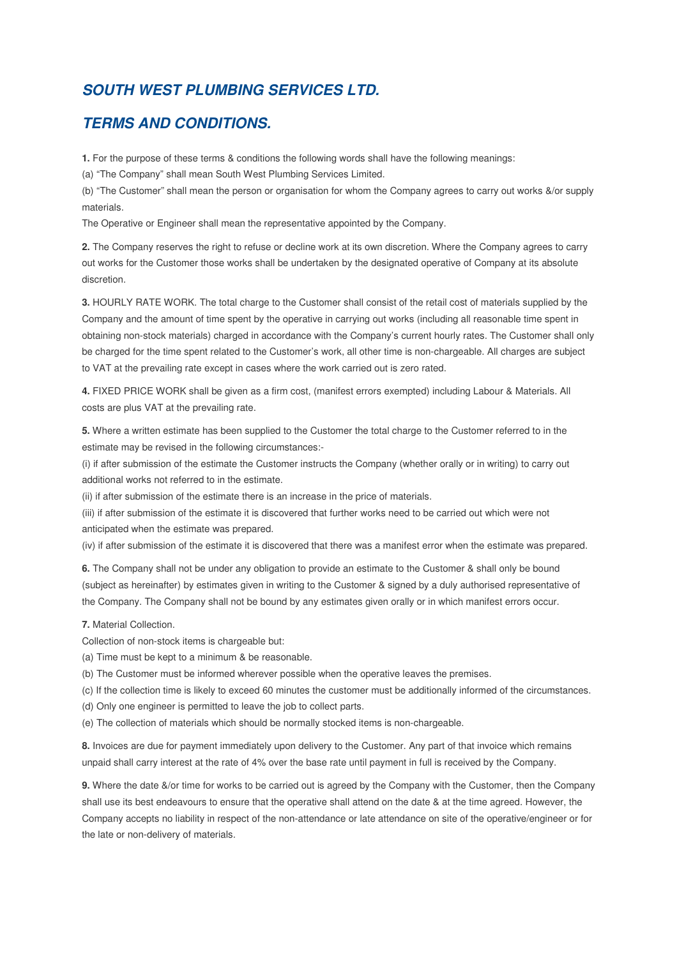## **SOUTH WEST PLUMBING SERVICES LTD.**

## **TERMS AND CONDITIONS.**

**1.** For the purpose of these terms & conditions the following words shall have the following meanings:

(a) "The Company" shall mean South West Plumbing Services Limited.

(b) "The Customer" shall mean the person or organisation for whom the Company agrees to carry out works &/or supply materials.

The Operative or Engineer shall mean the representative appointed by the Company.

**2.** The Company reserves the right to refuse or decline work at its own discretion. Where the Company agrees to carry out works for the Customer those works shall be undertaken by the designated operative of Company at its absolute discretion.

**3.** HOURLY RATE WORK. The total charge to the Customer shall consist of the retail cost of materials supplied by the Company and the amount of time spent by the operative in carrying out works (including all reasonable time spent in obtaining non-stock materials) charged in accordance with the Company's current hourly rates. The Customer shall only be charged for the time spent related to the Customer's work, all other time is non-chargeable. All charges are subject to VAT at the prevailing rate except in cases where the work carried out is zero rated.

**4.** FIXED PRICE WORK shall be given as a firm cost, (manifest errors exempted) including Labour & Materials. All costs are plus VAT at the prevailing rate.

**5.** Where a written estimate has been supplied to the Customer the total charge to the Customer referred to in the estimate may be revised in the following circumstances:-

(i) if after submission of the estimate the Customer instructs the Company (whether orally or in writing) to carry out additional works not referred to in the estimate.

(ii) if after submission of the estimate there is an increase in the price of materials.

(iii) if after submission of the estimate it is discovered that further works need to be carried out which were not anticipated when the estimate was prepared.

(iv) if after submission of the estimate it is discovered that there was a manifest error when the estimate was prepared.

**6.** The Company shall not be under any obligation to provide an estimate to the Customer & shall only be bound (subject as hereinafter) by estimates given in writing to the Customer & signed by a duly authorised representative of the Company. The Company shall not be bound by any estimates given orally or in which manifest errors occur.

**7.** Material Collection.

Collection of non-stock items is chargeable but:

(a) Time must be kept to a minimum & be reasonable.

(b) The Customer must be informed wherever possible when the operative leaves the premises.

(c) If the collection time is likely to exceed 60 minutes the customer must be additionally informed of the circumstances.

(d) Only one engineer is permitted to leave the job to collect parts.

(e) The collection of materials which should be normally stocked items is non-chargeable.

**8.** Invoices are due for payment immediately upon delivery to the Customer. Any part of that invoice which remains unpaid shall carry interest at the rate of 4% over the base rate until payment in full is received by the Company.

**9.** Where the date &/or time for works to be carried out is agreed by the Company with the Customer, then the Company shall use its best endeavours to ensure that the operative shall attend on the date & at the time agreed. However, the Company accepts no liability in respect of the non-attendance or late attendance on site of the operative/engineer or for the late or non-delivery of materials.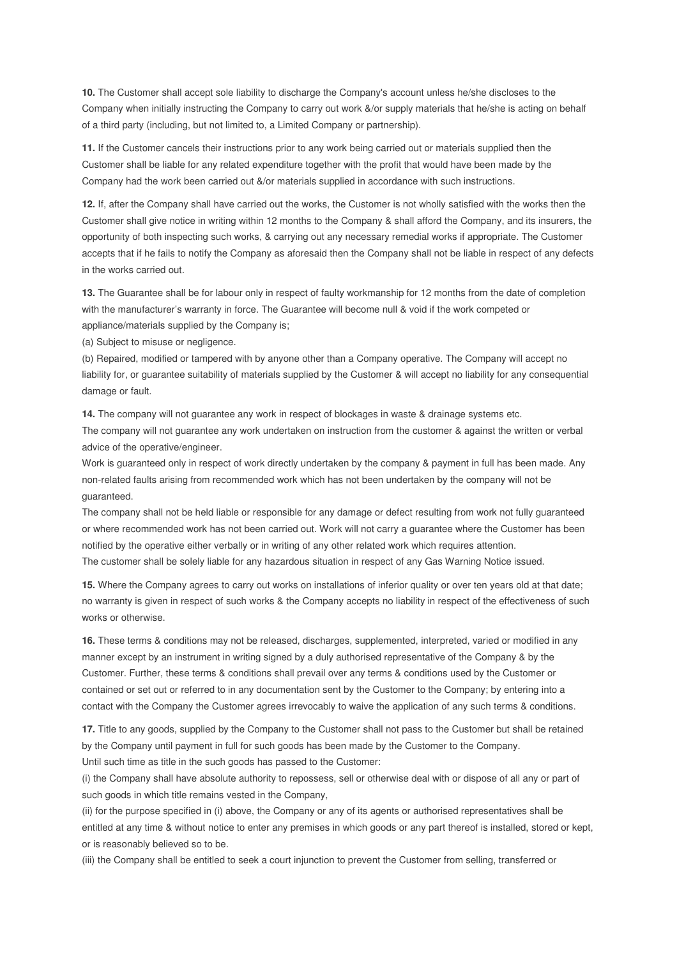**10.** The Customer shall accept sole liability to discharge the Company's account unless he/she discloses to the Company when initially instructing the Company to carry out work &/or supply materials that he/she is acting on behalf of a third party (including, but not limited to, a Limited Company or partnership).

**11.** If the Customer cancels their instructions prior to any work being carried out or materials supplied then the Customer shall be liable for any related expenditure together with the profit that would have been made by the Company had the work been carried out &/or materials supplied in accordance with such instructions.

**12.** If, after the Company shall have carried out the works, the Customer is not wholly satisfied with the works then the Customer shall give notice in writing within 12 months to the Company & shall afford the Company, and its insurers, the opportunity of both inspecting such works, & carrying out any necessary remedial works if appropriate. The Customer accepts that if he fails to notify the Company as aforesaid then the Company shall not be liable in respect of any defects in the works carried out.

**13.** The Guarantee shall be for labour only in respect of faulty workmanship for 12 months from the date of completion with the manufacturer's warranty in force. The Guarantee will become null & void if the work competed or appliance/materials supplied by the Company is;

(a) Subject to misuse or negligence.

(b) Repaired, modified or tampered with by anyone other than a Company operative. The Company will accept no liability for, or guarantee suitability of materials supplied by the Customer & will accept no liability for any consequential damage or fault.

**14.** The company will not guarantee any work in respect of blockages in waste & drainage systems etc. The company will not guarantee any work undertaken on instruction from the customer & against the written or verbal advice of the operative/engineer.

Work is guaranteed only in respect of work directly undertaken by the company & payment in full has been made. Any non-related faults arising from recommended work which has not been undertaken by the company will not be guaranteed.

The company shall not be held liable or responsible for any damage or defect resulting from work not fully guaranteed or where recommended work has not been carried out. Work will not carry a guarantee where the Customer has been notified by the operative either verbally or in writing of any other related work which requires attention. The customer shall be solely liable for any hazardous situation in respect of any Gas Warning Notice issued.

**15.** Where the Company agrees to carry out works on installations of inferior quality or over ten years old at that date; no warranty is given in respect of such works & the Company accepts no liability in respect of the effectiveness of such works or otherwise.

**16.** These terms & conditions may not be released, discharges, supplemented, interpreted, varied or modified in any manner except by an instrument in writing signed by a duly authorised representative of the Company & by the Customer. Further, these terms & conditions shall prevail over any terms & conditions used by the Customer or contained or set out or referred to in any documentation sent by the Customer to the Company; by entering into a contact with the Company the Customer agrees irrevocably to waive the application of any such terms & conditions.

**17.** Title to any goods, supplied by the Company to the Customer shall not pass to the Customer but shall be retained by the Company until payment in full for such goods has been made by the Customer to the Company. Until such time as title in the such goods has passed to the Customer:

(i) the Company shall have absolute authority to repossess, sell or otherwise deal with or dispose of all any or part of such goods in which title remains vested in the Company,

(ii) for the purpose specified in (i) above, the Company or any of its agents or authorised representatives shall be entitled at any time & without notice to enter any premises in which goods or any part thereof is installed, stored or kept, or is reasonably believed so to be.

(iii) the Company shall be entitled to seek a court injunction to prevent the Customer from selling, transferred or